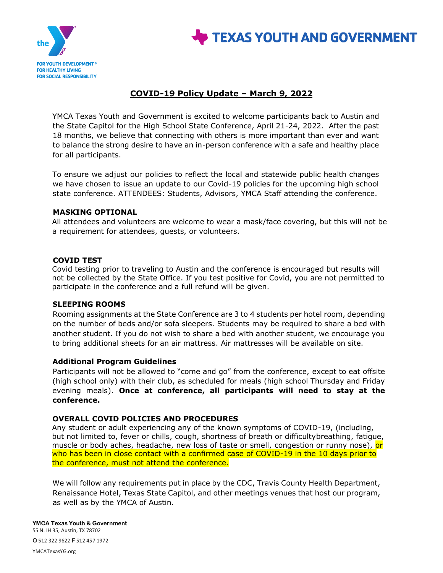



# **COVID-19 Policy Update – March 9, 2022**

YMCA Texas Youth and Government is excited to welcome participants back to Austin and the State Capitol for the High School State Conference, April 21-24, 2022. After the past 18 months, we believe that connecting with others is more important than ever and want to balance the strong desire to have an in-person conference with a safe and healthy place for all participants.

To ensure we adjust our policies to reflect the local and statewide public health changes we have chosen to issue an update to our Covid-19 policies for the upcoming high school state conference. ATTENDEES: Students, Advisors, YMCA Staff attending the conference.

### **MASKING OPTIONAL**

All attendees and volunteers are welcome to wear a mask/face covering, but this will not be a requirement for attendees, guests, or volunteers.

## **COVID TEST**

Covid testing prior to traveling to Austin and the conference is encouraged but results will not be collected by the State Office. If you test positive for Covid, you are not permitted to participate in the conference and a full refund will be given.

### **SLEEPING ROOMS**

Rooming assignments at the State Conference are 3 to 4 students per hotel room, depending on the number of beds and/or sofa sleepers. Students may be required to share a bed with another student. If you do not wish to share a bed with another student, we encourage you to bring additional sheets for an air mattress. Air mattresses will be available on site.

### **Additional Program Guidelines**

Participants will not be allowed to "come and go" from the conference, except to eat offsite (high school only) with their club, as scheduled for meals (high school Thursday and Friday evening meals). **Once at conference, all participants will need to stay at the conference.** 

### **OVERALL COVID POLICIES AND PROCEDURES**

Any student or adult experiencing any of the known symptoms of COVID-19, (including, but not limited to, fever or chills, cough, shortness of breath or difficultybreathing, fatigue, muscle or body aches, headache, new loss of taste or smell, congestion or runny nose), or who has been in close contact with a confirmed case of COVID-19 in the 10 days prior to the conference, must not attend the conference.

We will follow any requirements put in place by the CDC, Travis County Health Department, Renaissance Hotel, Texas State Capitol, and other meetings venues that host our program, as well as by the YMCA of Austin.

#### **YMCA Texas Youth & Government**

55 N. IH 35, Austin, TX 78702 **O** 512 322 9622 **F** 512 457 1972

YMCATexasYG.org